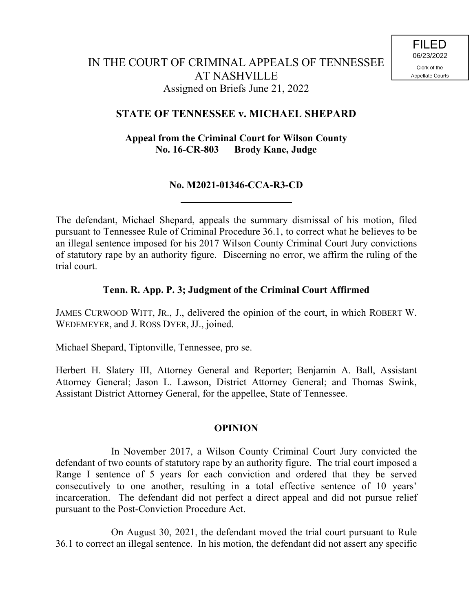# **STATE OF TENNESSEE v. MICHAEL SHEPARD**

**Appeal from the Criminal Court for Wilson County No. 16-CR-803 Brody Kane, Judge**

## **No. M2021-01346-CCA-R3-CD**

The defendant, Michael Shepard, appeals the summary dismissal of his motion, filed pursuant to Tennessee Rule of Criminal Procedure 36.1, to correct what he believes to be an illegal sentence imposed for his 2017 Wilson County Criminal Court Jury convictions of statutory rape by an authority figure. Discerning no error, we affirm the ruling of the trial court.

## **Tenn. R. App. P. 3; Judgment of the Criminal Court Affirmed**

JAMES CURWOOD WITT, JR., J., delivered the opinion of the court, in which ROBERT W. WEDEMEYER, and J. ROSS DYER, JJ., joined.

Michael Shepard, Tiptonville, Tennessee, pro se.

Herbert H. Slatery III, Attorney General and Reporter; Benjamin A. Ball, Assistant Attorney General; Jason L. Lawson, District Attorney General; and Thomas Swink, Assistant District Attorney General, for the appellee, State of Tennessee.

#### **OPINION**

In November 2017, a Wilson County Criminal Court Jury convicted the defendant of two counts of statutory rape by an authority figure. The trial court imposed a Range I sentence of 5 years for each conviction and ordered that they be served consecutively to one another, resulting in a total effective sentence of 10 years' incarceration. The defendant did not perfect a direct appeal and did not pursue relief pursuant to the Post-Conviction Procedure Act.

On August 30, 2021, the defendant moved the trial court pursuant to Rule 36.1 to correct an illegal sentence. In his motion, the defendant did not assert any specific